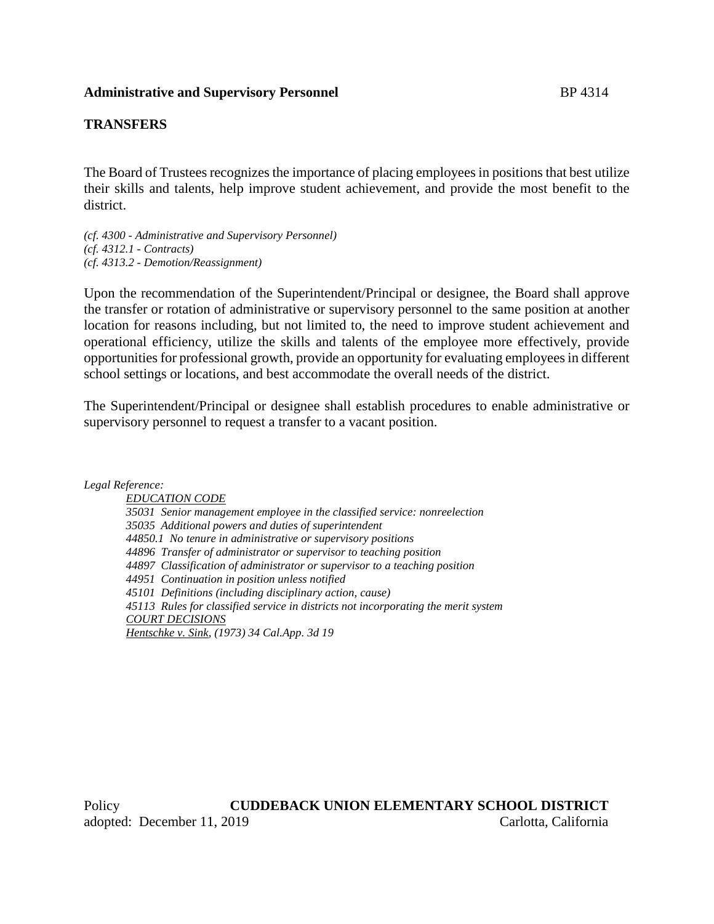### **Administrative and Supervisory Personnel** BP 4314

#### **TRANSFERS**

The Board of Trustees recognizes the importance of placing employees in positions that best utilize their skills and talents, help improve student achievement, and provide the most benefit to the district.

*(cf. 4300 - Administrative and Supervisory Personnel) (cf. 4312.1 - Contracts) (cf. 4313.2 - Demotion/Reassignment)*

Upon the recommendation of the Superintendent/Principal or designee, the Board shall approve the transfer or rotation of administrative or supervisory personnel to the same position at another location for reasons including, but not limited to, the need to improve student achievement and operational efficiency, utilize the skills and talents of the employee more effectively, provide opportunities for professional growth, provide an opportunity for evaluating employees in different school settings or locations, and best accommodate the overall needs of the district.

The Superintendent/Principal or designee shall establish procedures to enable administrative or supervisory personnel to request a transfer to a vacant position.

*Legal Reference:*

*EDUCATION CODE 35031 Senior management employee in the classified service: nonreelection 35035 Additional powers and duties of superintendent 44850.1 No tenure in administrative or supervisory positions 44896 Transfer of administrator or supervisor to teaching position 44897 Classification of administrator or supervisor to a teaching position 44951 Continuation in position unless notified 45101 Definitions (including disciplinary action, cause) 45113 Rules for classified service in districts not incorporating the merit system COURT DECISIONS Hentschke v. Sink, (1973) 34 Cal.App. 3d 19*

Policy **CUDDEBACK UNION ELEMENTARY SCHOOL DISTRICT** adopted: December 11, 2019 Carlotta, California